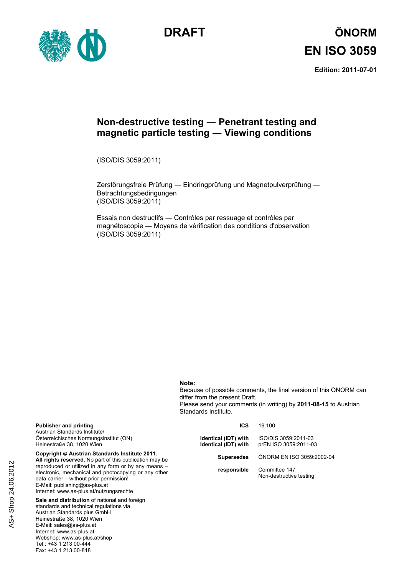



# **DRAFT ÖNORM EN ISO 3059**

**Edition: 2011-07-01** 

#### **Non-destructive testing ― Penetrant testing and magnetic particle testing ― Viewing conditions**

(ISO/DIS 3059:2011)

Zerstörungsfreie Prüfung ― Eindringprüfung und Magnetpulverprüfung ― Betrachtungsbedingungen (ISO/DIS 3059:2011)

Essais non destructifs ― Contrôles par ressuage et contrôles par magnétoscopie ― Moyens de vérification des conditions d'observation (ISO/DIS 3059:2011)

#### **Note:**

Because of possible comments, the final version of this ÖNORM can differ from the present Draft. Please send your comments (in writing) by **2011-08-15** to Austrian Standards Institute.

| <b>Publisher and printing</b><br>Austrian Standards Institute/<br>Österreichisches Normungsinstitut (ON)<br>Heinestraße 38, 1020 Wien                                                                                                                                                                                                             | ICS<br>Identical (IDT) with<br>Identical (IDT) with | 19.100<br>ISO/DIS 3059:2011-03<br>prEN ISO 3059:2011-03 |
|---------------------------------------------------------------------------------------------------------------------------------------------------------------------------------------------------------------------------------------------------------------------------------------------------------------------------------------------------|-----------------------------------------------------|---------------------------------------------------------|
| Copyright © Austrian Standards Institute 2011.<br>All rights reserved. No part of this publication may be<br>reproduced or utilized in any form or by any means -<br>electronic, mechanical and photocopying or any other<br>data carrier - without prior permission!<br>E-Mail: publishing@as-plus.at<br>Internet: www.as-plus.at/nutzungsrechte | <b>Supersedes</b>                                   | ÖNORM EN ISO 3059:2002-04                               |
|                                                                                                                                                                                                                                                                                                                                                   | responsible                                         | Committee 147<br>Non-destructive testing                |

**Sale and distribution** of national and foreign standards and technical regulations via Austrian Standards plus GmbH Heinestraße 38, 1020 Wien E-Mail: sales@as-plus.at Internet: www.as-plus.at Webshop: www.as-plus.at/shop Tel.: +43 1 213 00-444 Fax: +43 1 213 00-818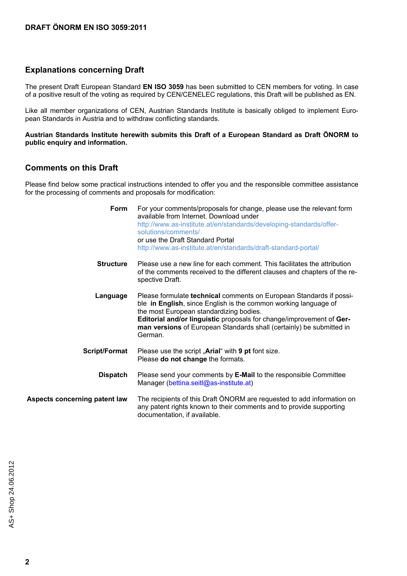#### **Explanations concerning Draft**

The present Draft European Standard **EN ISO 3059** has been submitted to CEN members for voting. In case of a positive result of the voting as required by CEN/CENELEC regulations, this Draft will be published as EN.

Like all member organizations of CEN, Austrian Standards Institute is basically obliged to implement European Standards in Austria and to withdraw conflicting standards.

**Austrian Standards Institute herewith submits this Draft of a European Standard as Draft ÖNORM to public enquiry and information.** 

#### **Comments on this Draft**

Please find below some practical instructions intended to offer you and the responsible committee assistance for the processing of comments and proposals for modification:

| Form                          | For your comments/proposals for change, please use the relevant form<br>available from Internet. Download under<br>http://www.as-institute.at/en/standards/developing-standards/offer-<br>solutions/comments/<br>or use the Draft Standard Portal<br>http://www.as-institute.at/en/standards/draft-standard-portal/                          |
|-------------------------------|----------------------------------------------------------------------------------------------------------------------------------------------------------------------------------------------------------------------------------------------------------------------------------------------------------------------------------------------|
| <b>Structure</b>              | Please use a new line for each comment. This facilitates the attribution<br>of the comments received to the different clauses and chapters of the re-<br>spective Draft.                                                                                                                                                                     |
| Language                      | Please formulate technical comments on European Standards if possi-<br>ble in English, since English is the common working language of<br>the most European standardizing bodies.<br>Editorial and/or linguistic proposals for change/improvement of Ger-<br>man versions of European Standards shall (certainly) be submitted in<br>German. |
| <b>Script/Format</b>          | Please use the script "Arial" with 9 pt font size.<br>Please do not change the formats.                                                                                                                                                                                                                                                      |
| <b>Dispatch</b>               | Please send your comments by E-Mail to the responsible Committee<br>Manager (bettina.seit @as-institute.at)                                                                                                                                                                                                                                  |
| Aspects concerning patent law | The recipients of this Draft ÖNORM are requested to add information on<br>any patent rights known to their comments and to provide supporting<br>documentation, if available.                                                                                                                                                                |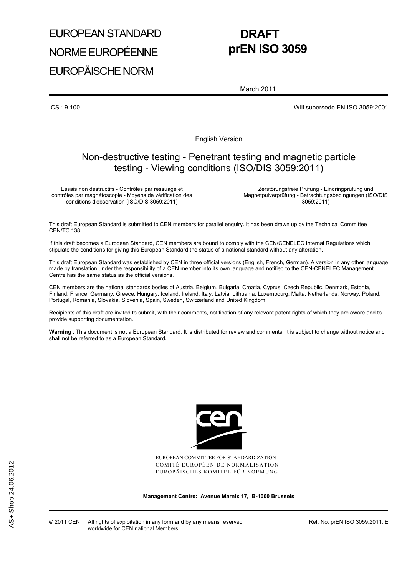# EUROPEAN STANDARD NORME EUROPÉENNE EUROPÄISCHE NORM

# **DRAFT prEN ISO 3059**

March 2011

ICS 19.100 Will supersede EN ISO 3059:2001

English Version

#### Non-destructive testing - Penetrant testing and magnetic particle testing - Viewing conditions (ISO/DIS 3059:2011)

Essais non destructifs - Contrôles par ressuage et contrôles par magnétoscopie - Moyens de vérification des conditions d'observation (ISO/DIS 3059:2011)

 Zerstörungsfreie Prüfung - Eindringprüfung und Magnetpulverprüfung - Betrachtungsbedingungen (ISO/DIS 3059:2011)

This draft European Standard is submitted to CEN members for parallel enquiry. It has been drawn up by the Technical Committee CEN/TC 138.

If this draft becomes a European Standard, CEN members are bound to comply with the CEN/CENELEC Internal Regulations which stipulate the conditions for giving this European Standard the status of a national standard without any alteration.

This draft European Standard was established by CEN in three official versions (English, French, German). A version in any other language made by translation under the responsibility of a CEN member into its own language and notified to the CEN-CENELEC Management Centre has the same status as the official versions.

CEN members are the national standards bodies of Austria, Belgium, Bulgaria, Croatia, Cyprus, Czech Republic, Denmark, Estonia, Finland, France, Germany, Greece, Hungary, Iceland, Ireland, Italy, Latvia, Lithuania, Luxembourg, Malta, Netherlands, Norway, Poland, Portugal, Romania, Slovakia, Slovenia, Spain, Sweden, Switzerland and United Kingdom.

Recipients of this draft are invited to submit, with their comments, notification of any relevant patent rights of which they are aware and to provide supporting documentation.

**Warning** : This document is not a European Standard. It is distributed for review and comments. It is subject to change without notice and shall not be referred to as a European Standard.



EUROPEAN COMMITTEE FOR STANDARDIZATION COMITÉ EUROPÉEN DE NORMALISATION EUROPÄISCHES KOMITEE FÜR NORMUNG

**Management Centre: Avenue Marnix 17, B-1000 Brussels** 

Ref. No. prEN ISO 3059:2011: E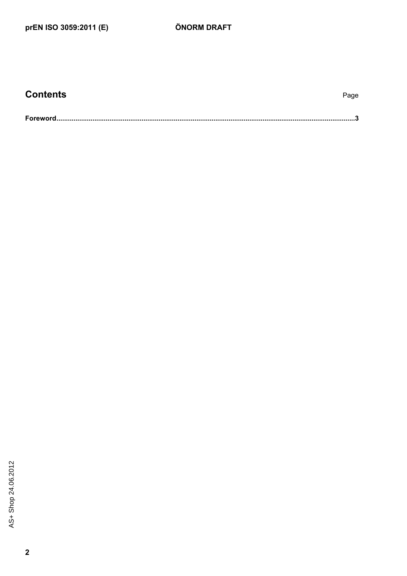| <b>Contents</b> | Page |
|-----------------|------|
|                 |      |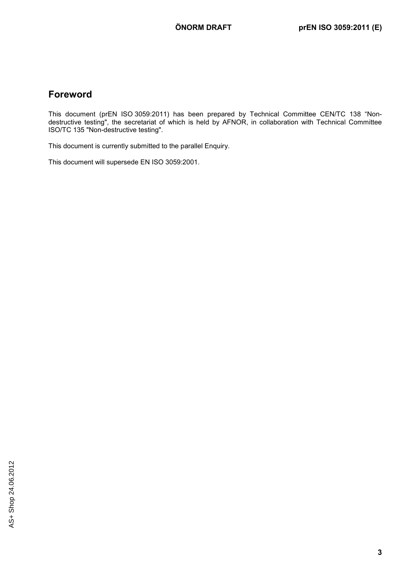#### **Foreword**

This document (prEN ISO 3059:2011) has been prepared by Technical Committee CEN/TC 138 "Nondestructive testing", the secretariat of which is held by AFNOR, in collaboration with Technical Committee ISO/TC 135 "Non-destructive testing".

This document is currently submitted to the parallel Enquiry.

This document will supersede EN ISO 3059:2001.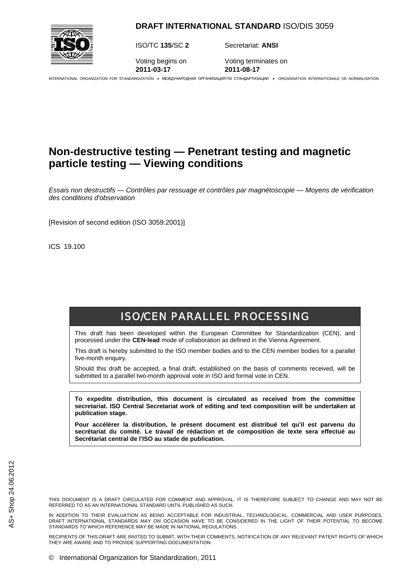**DRAFT INTERNATIONAL STANDARD** ISO/DIS 3059



ISO/TC **135**/SC **2** Secretariat: **ANSI**

**2011-03-17 2011-08-17**

Voting begins on Voting terminates on

INTERNATIONAL ORGANIZATION FOR STANDARDIZATION • МЕЖДУНАРОДНАЯ ОРГАНИЗАЦИЯ ПО СТАНДАРТИЗАЦИИ • ORGANISATION INTERNATIONALE DE NORMALISATION

### **Non-destructive testing — Penetrant testing and magnetic particle testing — Viewing conditions**

*Essais non destructifs — Contrôles par ressuage et contrôles par magnétoscopie — Moyens de vérification des conditions d'observation* 

[Revision of second edition (ISO 3059:2001)]

ICS 19.100

## ISO/CEN PARALLEL PROCESSING

This draft has been developed within the European Committee for Standardization (CEN), and processed under the **CEN-lead** mode of collaboration as defined in the Vienna Agreement.

This draft is hereby submitted to the ISO member bodies and to the CEN member bodies for a parallel five-month enquiry.

Should this draft be accepted, a final draft, established on the basis of comments received, will be submitted to a parallel two-month approval vote in ISO and formal vote in CEN.

**To expedite distribution, this document is circulated as received from the committee secretariat. ISO Central Secretariat work of editing and text composition will be undertaken at publication stage.** 

**Pour accélérer la distribution, le présent document est distribué tel qu'il est parvenu du secrétariat du comité. Le travail de rédaction et de composition de texte sera effectué au Secrétariat central de l'ISO au stade de publication.**

THIS DOCUMENT IS A DRAFT CIRCULATED FOR COMMENT AND APPROVAL. IT IS THEREFORE SUBJECT TO CHANGE AND MAY NOT BE REFERRED TO AS AN INTERNATIONAL STANDARD UNTIL PUBLISHED AS SUCH.

IN ADDITION TO THEIR EVALUATION AS BEING ACCEPTABLE FOR INDUSTRIAL, TECHNOLOGICAL, COMMERCIAL AND USER PURPOSES, DRAFT INTERNATIONAL STANDARDS MAY ON OCCASION HAVE TO BE CONSIDERED IN THE LIGHT OF THEIR POTENTIAL TO BECOME STANDARDS TO WHICH REFERENCE MAY BE MADE IN NATIONAL REGULATIONS.

RECIPIENTS OF THIS DRAFT ARE INVITED TO SUBMIT, WITH THEIR COMMENTS, NOTIFICATION OF ANY RELEVANT PATENT RIGHTS OF WHICH THEY ARE AWARE AND TO PROVIDE SUPPORTING DOCUMENTATION.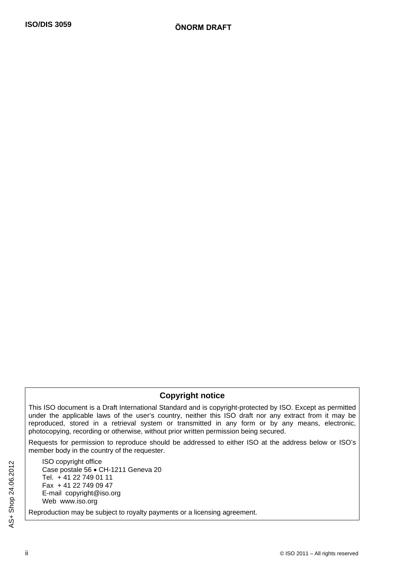#### **Copyright notice**

This ISO document is a Draft International Standard and is copyright-protected by ISO. Except as permitted under the applicable laws of the user's country, neither this ISO draft nor any extract from it may be reproduced, stored in a retrieval system or transmitted in any form or by any means, electronic, photocopying, recording or otherwise, without prior written permission being secured.

Requests for permission to reproduce should be addressed to either ISO at the address below or ISO's member body in the country of the requester.

ISO copyright office Case postale 56 • CH-1211 Geneva 20 Tel. + 41 22 749 01 11 Fax + 41 22 749 09 47 E-mail copyright@iso.org Web www.iso.org

Reproduction may be subject to royalty payments or a licensing agreement.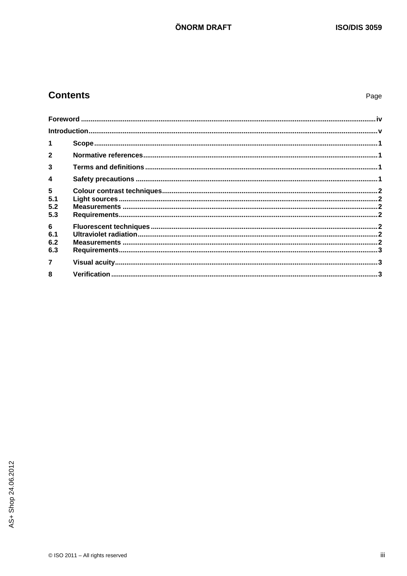### **Contents**

| 1                                   |  |
|-------------------------------------|--|
| $\overline{2}$                      |  |
| 3                                   |  |
| 4                                   |  |
| 5<br>5.1                            |  |
| 5.2<br>5.3                          |  |
| $6\phantom{a}$<br>6.1<br>6.2<br>6.3 |  |
| $\overline{7}$                      |  |
| 8                                   |  |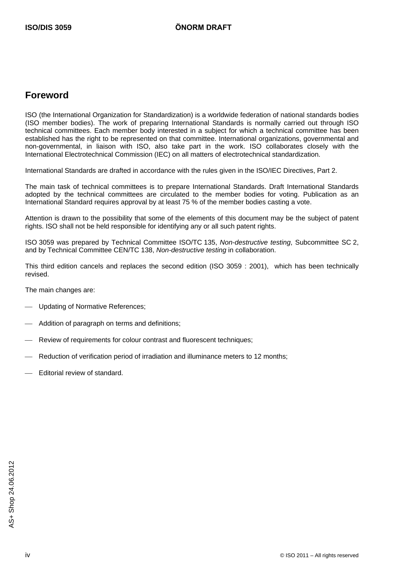#### **Foreword**

ISO (the International Organization for Standardization) is a worldwide federation of national standards bodies (ISO member bodies). The work of preparing International Standards is normally carried out through ISO technical committees. Each member body interested in a subject for which a technical committee has been established has the right to be represented on that committee. International organizations, governmental and non-governmental, in liaison with ISO, also take part in the work. ISO collaborates closely with the International Electrotechnical Commission (IEC) on all matters of electrotechnical standardization.

International Standards are drafted in accordance with the rules given in the ISO/IEC Directives, Part 2.

The main task of technical committees is to prepare International Standards. Draft International Standards adopted by the technical committees are circulated to the member bodies for voting. Publication as an International Standard requires approval by at least 75 % of the member bodies casting a vote.

Attention is drawn to the possibility that some of the elements of this document may be the subject of patent rights. ISO shall not be held responsible for identifying any or all such patent rights.

ISO 3059 was prepared by Technical Committee ISO/TC 135, *Non-destructive testing*, Subcommittee SC 2, and by Technical Committee CEN/TC 138, *Non-destructive testing* in collaboration.

This third edition cancels and replaces the second edition (ISO 3059 : 2001), which has been technically revised.

The main changes are:

- Updating of Normative References;
- Addition of paragraph on terms and definitions;
- Review of requirements for colour contrast and fluorescent techniques;
- Reduction of verification period of irradiation and illuminance meters to 12 months;
- Editorial review of standard.